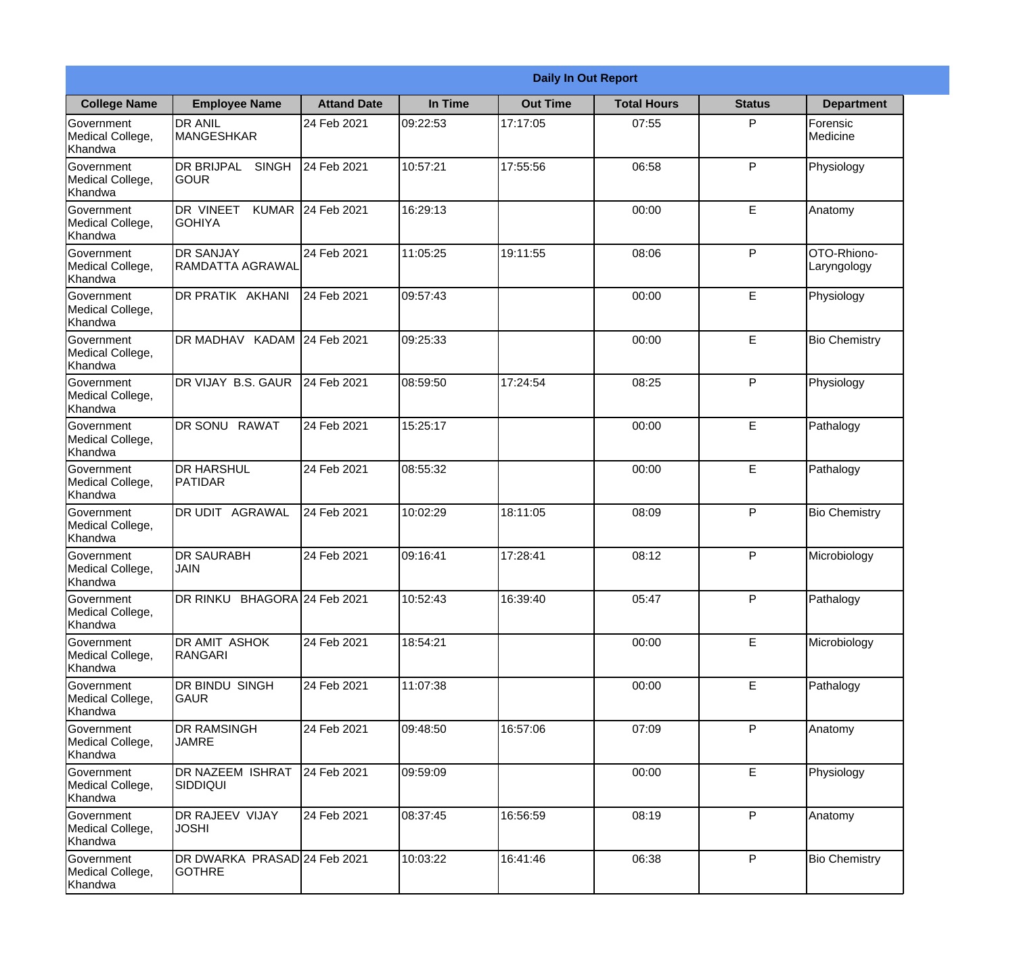| <b>Daily In Out Report</b>                       |                                                     |                    |          |                 |                    |               |                            |
|--------------------------------------------------|-----------------------------------------------------|--------------------|----------|-----------------|--------------------|---------------|----------------------------|
| <b>College Name</b>                              | <b>Employee Name</b>                                | <b>Attand Date</b> | In Time  | <b>Out Time</b> | <b>Total Hours</b> | <b>Status</b> | <b>Department</b>          |
| Government<br>Medical College,<br>Khandwa        | <b>DR ANIL</b><br>MANGESHKAR                        | 24 Feb 2021        | 09:22:53 | 17:17:05        | 07:55              | P             | Forensic<br>Medicine       |
| Government<br>Medical College,<br>Khandwa        | <b>DR BRIJPAL</b><br><b>SINGH</b><br> GOUR          | 24 Feb 2021        | 10:57:21 | 17:55:56        | 06:58              | P             | Physiology                 |
| <b>Government</b><br>Medical College,<br>Khandwa | <b>DR VINEET</b><br><b>KUMAR</b><br><b>I</b> GOHIYA | 24 Feb 2021        | 16:29:13 |                 | 00:00              | E             | Anatomy                    |
| Government<br>Medical College,<br>Khandwa        | <b>DR SANJAY</b><br><b>RAMDATTA AGRAWAL</b>         | 24 Feb 2021        | 11:05:25 | 19:11:55        | 08:06              | P             | OTO-Rhiono-<br>Laryngology |
| Government<br>Medical College,<br>Khandwa        | <b>DR PRATIK AKHANI</b>                             | 24 Feb 2021        | 09:57:43 |                 | 00:00              | E             | Physiology                 |
| Government<br>Medical College,<br>Khandwa        | DR MADHAV KADAM 24 Feb 2021                         |                    | 09:25:33 |                 | 00:00              | E             | <b>Bio Chemistry</b>       |
| Government<br>Medical College,<br>Khandwa        | DR VIJAY B.S. GAUR                                  | 24 Feb 2021        | 08:59:50 | 17:24:54        | 08:25              | P             | Physiology                 |
| Government<br>Medical College,<br>Khandwa        | DR SONU RAWAT                                       | 24 Feb 2021        | 15:25:17 |                 | 00:00              | E             | Pathalogy                  |
| Government<br>Medical College,<br>Khandwa        | <b>DR HARSHUL</b><br>PATIDAR                        | 24 Feb 2021        | 08:55:32 |                 | 00:00              | E             | Pathalogy                  |
| Government<br>Medical College,<br>Khandwa        | DR UDIT<br><b>AGRAWAL</b>                           | 24 Feb 2021        | 10:02:29 | 18:11:05        | 08:09              | P             | <b>Bio Chemistry</b>       |
| Government<br>Medical College,<br>Khandwa        | <b>DR SAURABH</b><br><b>JAIN</b>                    | 24 Feb 2021        | 09:16:41 | 17:28:41        | 08:12              | $\mathsf{P}$  | Microbiology               |
| Government<br>Medical College,<br>Khandwa        | DR RINKU BHAGORA 24 Feb 2021                        |                    | 10:52:43 | 16:39:40        | 05:47              | P             | Pathalogy                  |
| Government<br>Medical College,<br>Khandwa        | <b>DR AMIT ASHOK</b><br>RANGARI                     | 24 Feb 2021        | 18:54:21 |                 | 00:00              | E             | Microbiology               |
| Government<br>Medical College,<br>Khandwa        | DR BINDU SINGH<br> GAUR                             | 24 Feb 2021        | 11:07:38 |                 | 00:00              | E             | Pathalogy                  |
| Government<br>Medical College,<br>Khandwa        | <b>DR RAMSINGH</b><br><b>JAMRE</b>                  | 24 Feb 2021        | 09:48:50 | 16:57:06        | 07:09              | P             | Anatomy                    |
| Government<br>Medical College,<br>Khandwa        | <b>DR NAZEEM ISHRAT</b><br>SIDDIQUI                 | 24 Feb 2021        | 09:59:09 |                 | 00:00              | E             | Physiology                 |
| Government<br>Medical College,<br>Khandwa        | <b>DR RAJEEV VIJAY</b><br><b>JOSHI</b>              | 24 Feb 2021        | 08:37:45 | 16:56:59        | 08:19              | P             | Anatomy                    |
| Government<br>Medical College,<br>Khandwa        | DR DWARKA PRASAD 24 Feb 2021<br><b>GOTHRE</b>       |                    | 10:03:22 | 16:41:46        | 06:38              | P             | <b>Bio Chemistry</b>       |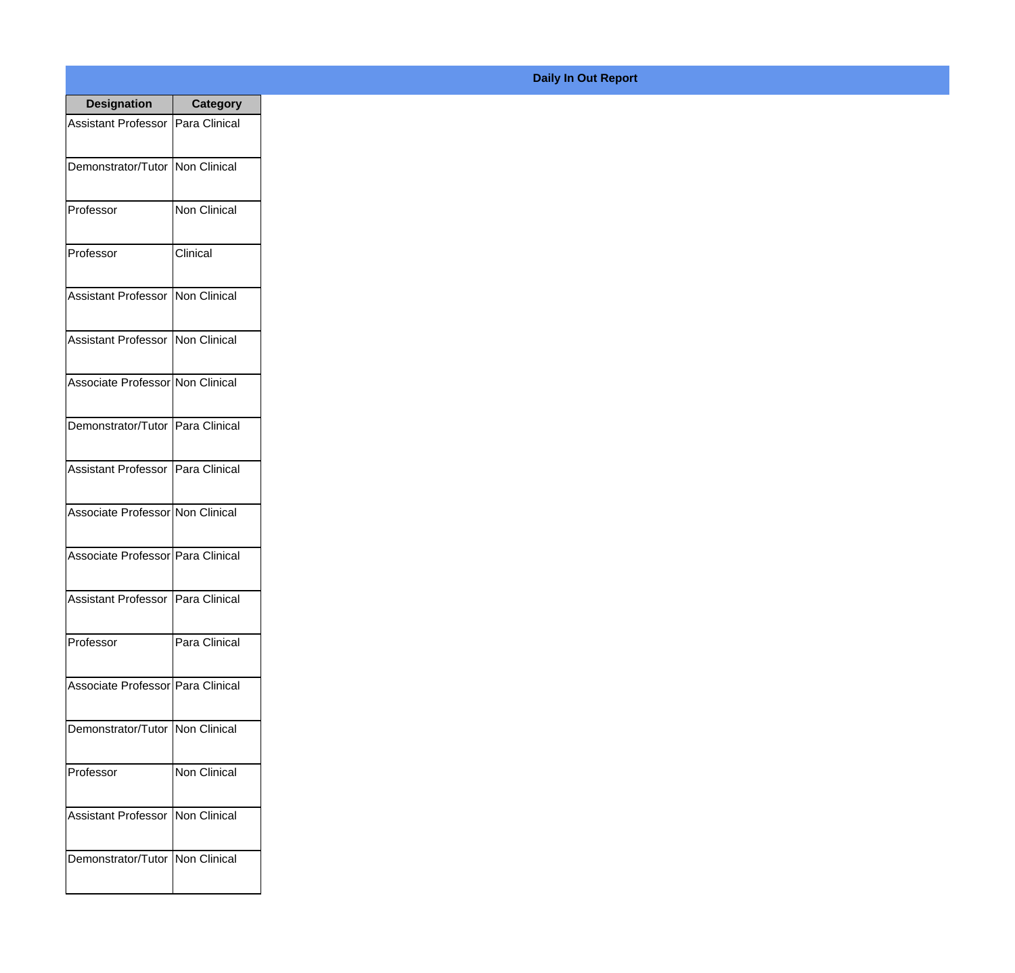| <b>Designation</b>                  | Category      |
|-------------------------------------|---------------|
| Assistant Professor   Para Clinical |               |
| Demonstrator/Tutor   Non Clinical   |               |
| Professor                           | Non Clinical  |
| Professor                           | Clinical      |
| <b>Assistant Professor</b>          | Non Clinical  |
| Assistant Professor Non Clinical    |               |
| Associate Professor Non Clinical    |               |
| Demonstrator/Tutor   Para Clinical  |               |
| Assistant Professor   Para Clinical |               |
| Associate Professor Non Clinical    |               |
| Associate Professor   Para Clinical |               |
| Assistant Professor   Para Clinical |               |
| Professor                           | Para Clinical |
| Associate Professor Para Clinical   |               |
| Demonstrator/Tutor                  | Non Clinical  |
| Professor                           | Non Clinical  |
| <b>Assistant Professor</b>          | Non Clinical  |
| Demonstrator/Tutor   Non Clinical   |               |

**Daily In Out Report**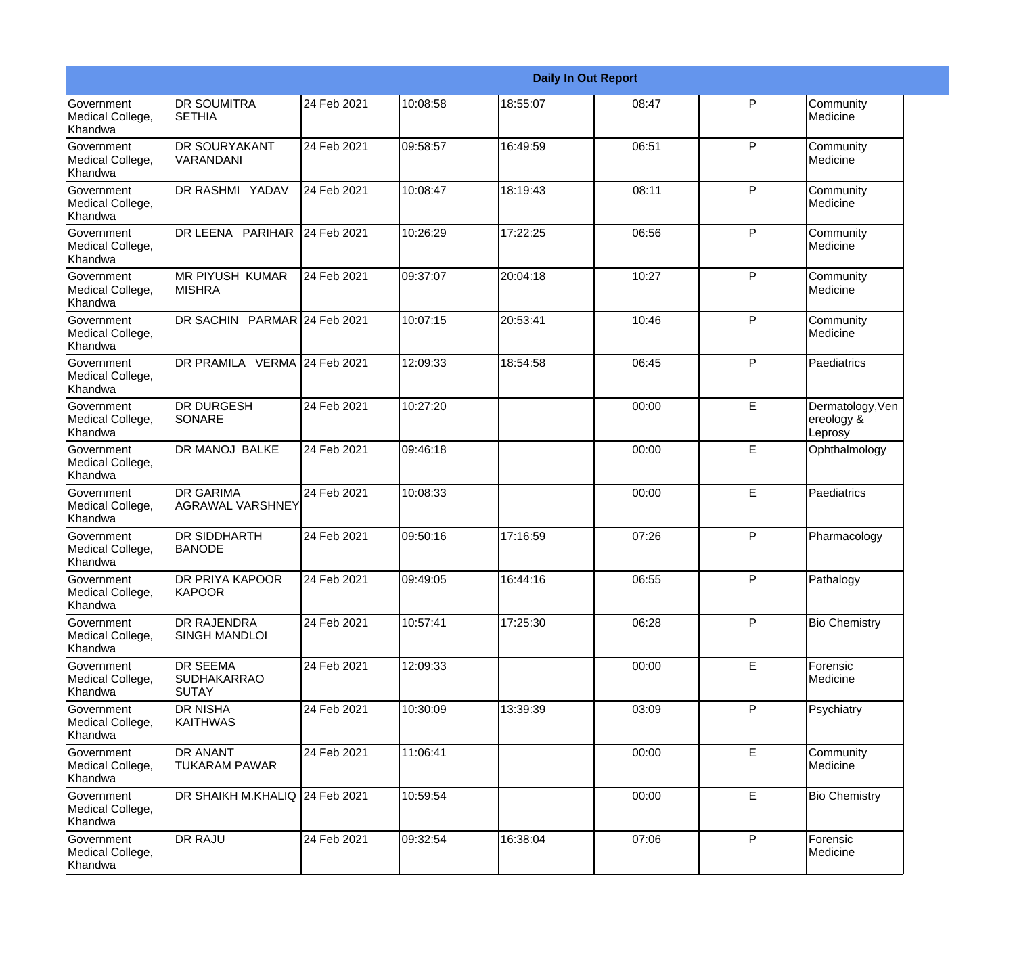|                                                  |                                                       |             |          |          | <b>Daily In Out Report</b> |              |                                           |
|--------------------------------------------------|-------------------------------------------------------|-------------|----------|----------|----------------------------|--------------|-------------------------------------------|
| <b>Government</b><br>Medical College,<br>Khandwa | <b>DR SOUMITRA</b><br><b>SETHIA</b>                   | 24 Feb 2021 | 10:08:58 | 18:55:07 | 08:47                      | P            | Community<br>Medicine                     |
| Government<br>Medical College,<br>Khandwa        | DR SOURYAKANT<br>VARANDANI                            | 24 Feb 2021 | 09:58:57 | 16:49:59 | 06:51                      | P            | Community<br>Medicine                     |
| <b>Government</b><br>Medical College,<br>Khandwa | DR RASHMI YADAV                                       | 24 Feb 2021 | 10:08:47 | 18:19:43 | 08:11                      | P            | Community<br>Medicine                     |
| <b>Government</b><br>Medical College,<br>Khandwa | DR LEENA PARIHAR                                      | 24 Feb 2021 | 10:26:29 | 17:22:25 | 06:56                      | P            | Community<br>Medicine                     |
| Government<br>Medical College,<br>Khandwa        | <b>MR PIYUSH KUMAR</b><br><b>MISHRA</b>               | 24 Feb 2021 | 09:37:07 | 20:04:18 | 10:27                      | P            | Community<br>Medicine                     |
| Government<br>Medical College,<br><b>Khandwa</b> | DR SACHIN PARMAR 24 Feb 2021                          |             | 10:07:15 | 20:53:41 | 10:46                      | $\mathsf{P}$ | Community<br><b>Medicine</b>              |
| <b>Government</b><br>Medical College,<br>Khandwa | DR PRAMILA VERMA 24 Feb 2021                          |             | 12:09:33 | 18:54:58 | 06:45                      | P            | Paediatrics                               |
| Government<br>Medical College,<br>Khandwa        | <b>DR DURGESH</b><br>SONARE                           | 24 Feb 2021 | 10:27:20 |          | 00:00                      | E            | Dermatology, Ven<br>ereology &<br>Leprosy |
| Government<br>Medical College,<br>Khandwa        | DR MANOJ BALKE                                        | 24 Feb 2021 | 09:46:18 |          | 00:00                      | E            | Ophthalmology                             |
| <b>Government</b><br>Medical College,<br>Khandwa | <b>DR GARIMA</b><br>AGRAWAL VARSHNEY                  | 24 Feb 2021 | 10:08:33 |          | 00:00                      | E            | Paediatrics                               |
| <b>Government</b><br>Medical College,<br>Khandwa | <b>DR SIDDHARTH</b><br><b>BANODE</b>                  | 24 Feb 2021 | 09:50:16 | 17:16:59 | 07:26                      | P            | Pharmacology                              |
| Government<br>Medical College,<br>Khandwa        | DR PRIYA KAPOOR<br>KAPOOR                             | 24 Feb 2021 | 09:49:05 | 16:44:16 | 06:55                      | P            | Pathalogy                                 |
| Government<br>Medical College,<br>Khandwa        | <b>DR RAJENDRA</b><br>SINGH MANDLOI                   | 24 Feb 2021 | 10:57:41 | 17:25:30 | 06:28                      | P            | <b>Bio Chemistry</b>                      |
| Government<br>Medical College,<br>Khandwa        | <b>DR SEEMA</b><br><b>SUDHAKARRAO</b><br><b>SUTAY</b> | 24 Feb 2021 | 12:09:33 |          | 00:00                      | E            | Forensic<br>Medicine                      |
| Government<br>Medical College,<br>Khandwa        | <b>DR NISHA</b><br><b>KAITHWAS</b>                    | 24 Feb 2021 | 10:30:09 | 13:39:39 | 03:09                      | $\mathsf{P}$ | Psychiatry                                |
| Government<br>Medical College,<br>Khandwa        | DR ANANT<br><b>TUKARAM PAWAR</b>                      | 24 Feb 2021 | 11:06:41 |          | 00:00                      | E            | Community<br>Medicine                     |
| Government<br>Medical College,<br>Khandwa        | DR SHAIKH M.KHALIQ 24 Feb 2021                        |             | 10:59:54 |          | 00:00                      | E            | <b>Bio Chemistry</b>                      |
| Government<br>Medical College,<br>Khandwa        | <b>DR RAJU</b>                                        | 24 Feb 2021 | 09:32:54 | 16:38:04 | 07:06                      | $\mathsf{P}$ | Forensic<br>Medicine                      |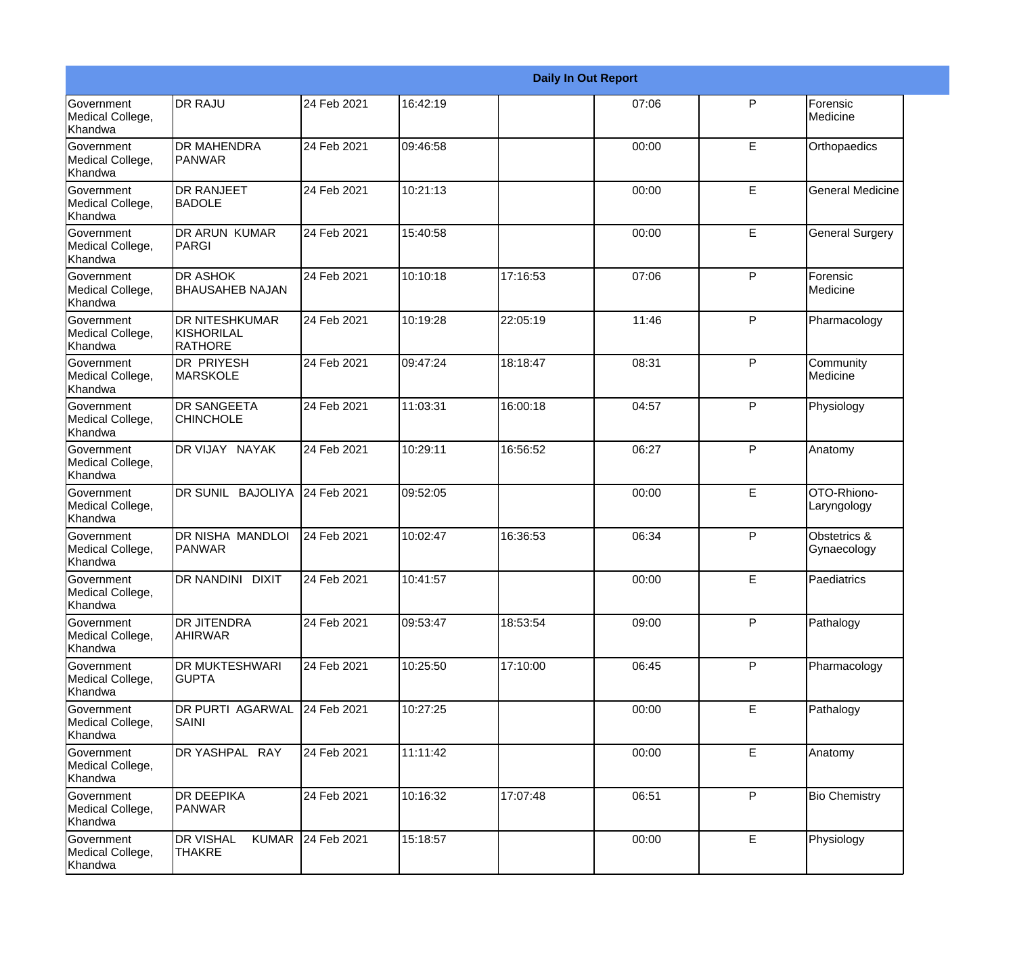|                                                  |                                                       |             |          |          | <b>Daily In Out Report</b> |              |                             |
|--------------------------------------------------|-------------------------------------------------------|-------------|----------|----------|----------------------------|--------------|-----------------------------|
| Government<br>Medical College,<br>Khandwa        | <b>DR RAJU</b>                                        | 24 Feb 2021 | 16:42:19 |          | 07:06                      | $\mathsf{P}$ | Forensic<br>Medicine        |
| Government<br>Medical College,<br>Khandwa        | <b>DR MAHENDRA</b><br>PANWAR                          | 24 Feb 2021 | 09:46:58 |          | 00:00                      | E            | Orthopaedics                |
| <b>Government</b><br>Medical College,<br>Khandwa | <b>DR RANJEET</b><br><b>BADOLE</b>                    | 24 Feb 2021 | 10:21:13 |          | 00:00                      | E            | <b>General Medicine</b>     |
| Government<br>Medical College,<br>Khandwa        | <b>DR ARUN KUMAR</b><br>PARGI                         | 24 Feb 2021 | 15:40:58 |          | 00:00                      | E            | <b>General Surgery</b>      |
| Government<br>Medical College,<br>Khandwa        | <b>DR ASHOK</b><br><b>BHAUSAHEB NAJAN</b>             | 24 Feb 2021 | 10:10:18 | 17:16:53 | 07:06                      | P            | Forensic<br>Medicine        |
| Government<br>Medical College,<br>Khandwa        | <b>DR NITESHKUMAR</b><br>KISHORILAL<br><b>RATHORE</b> | 24 Feb 2021 | 10:19:28 | 22:05:19 | 11:46                      | P            | Pharmacology                |
| Government<br>Medical College,<br>Khandwa        | <b>DR PRIYESH</b><br>MARSKOLE                         | 24 Feb 2021 | 09:47:24 | 18:18:47 | 08:31                      | P            | Community<br>Medicine       |
| <b>Government</b><br>Medical College,<br>Khandwa | <b>DR SANGEETA</b><br><b>CHINCHOLE</b>                | 24 Feb 2021 | 11:03:31 | 16:00:18 | 04:57                      | $\mathsf{P}$ | Physiology                  |
| Government<br>Medical College,<br>Khandwa        | DR VIJAY NAYAK                                        | 24 Feb 2021 | 10:29:11 | 16:56:52 | 06:27                      | P            | Anatomy                     |
| <b>Government</b><br>Medical College,<br>Khandwa | DR SUNIL BAJOLIYA                                     | 24 Feb 2021 | 09:52:05 |          | 00:00                      | E            | OTO-Rhiono-<br>Laryngology  |
| <b>Government</b><br>Medical College,<br>Khandwa | DR NISHA MANDLOI<br><b>PANWAR</b>                     | 24 Feb 2021 | 10:02:47 | 16:36:53 | 06:34                      | P            | Obstetrics &<br>Gynaecology |
| Government<br>Medical College,<br>Khandwa        | DR NANDINI DIXIT                                      | 24 Feb 2021 | 10:41:57 |          | 00:00                      | E            | Paediatrics                 |
| Government<br>Medical College,<br>Khandwa        | <b>DR JITENDRA</b><br><b>AHIRWAR</b>                  | 24 Feb 2021 | 09:53:47 | 18:53:54 | 09:00                      | P            | Pathalogy                   |
| <b>Government</b><br>Medical College,<br>Khandwa | <b>DR MUKTESHWARI</b><br><b>GUPTA</b>                 | 24 Feb 2021 | 10:25:50 | 17:10:00 | 06:45                      | P            | Pharmacology                |
| Government<br>Medical College,<br>Khandwa        | <b>DR PURTI AGARWAL</b><br>SAINI                      | 24 Feb 2021 | 10:27:25 |          | 00:00                      | E            | Pathalogy                   |
| Government<br>Medical College,<br>Khandwa        | DR YASHPAL RAY                                        | 24 Feb 2021 | 11:11:42 |          | 00:00                      | E            | Anatomy                     |
| Government<br>Medical College,<br>Khandwa        | <b>DR DEEPIKA</b><br>PANWAR                           | 24 Feb 2021 | 10:16:32 | 17:07:48 | 06:51                      | $\mathsf{P}$ | <b>Bio Chemistry</b>        |
| Government<br>Medical College,<br>Khandwa        | <b>DR VISHAL</b><br><b>KUMAR</b><br><b>THAKRE</b>     | 24 Feb 2021 | 15:18:57 |          | 00:00                      | E            | Physiology                  |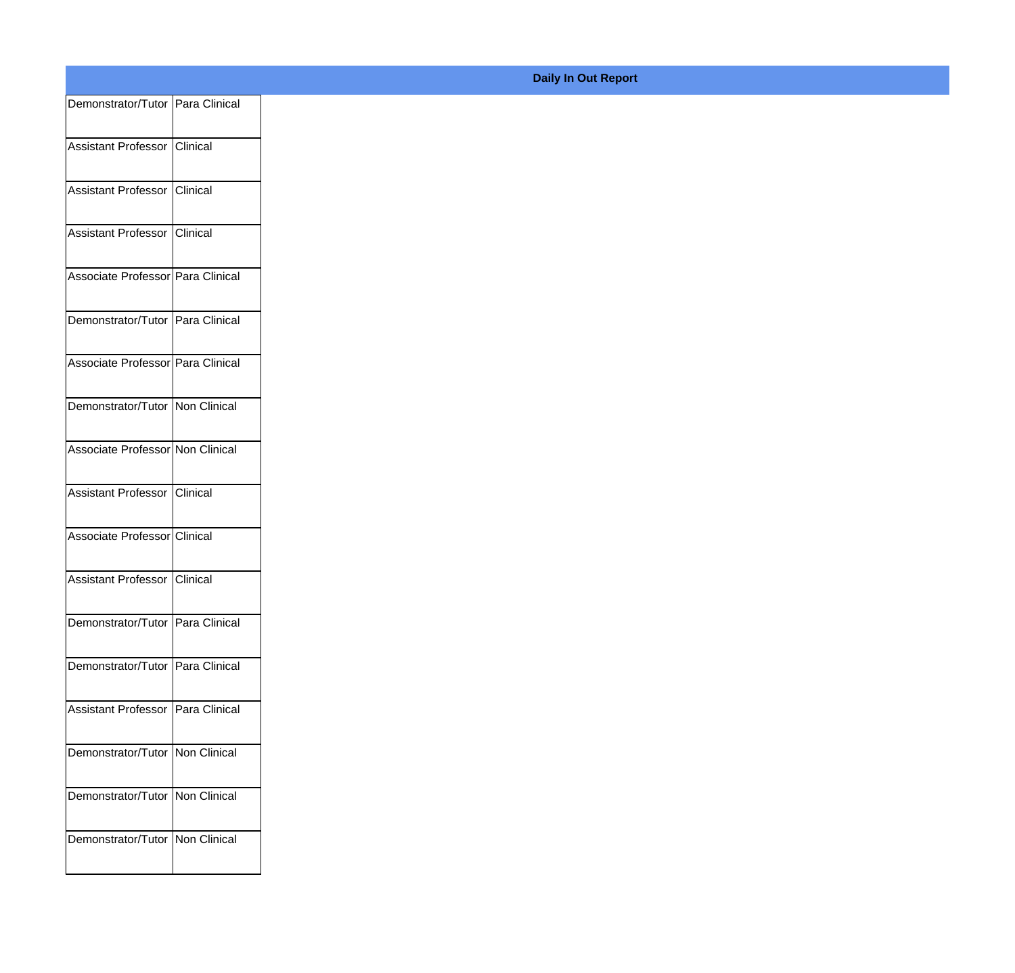| Demonstrator/Tutor Para Clinical  |  |
|-----------------------------------|--|
| Assistant Professor Clinical      |  |
| Assistant Professor Clinical      |  |
|                                   |  |
| Assistant Professor Clinical      |  |
| Associate Professor Para Clinical |  |
| Demonstrator/Tutor Para Clinical  |  |
| Associate Professor Para Clinical |  |
| Demonstrator/Tutor Non Clinical   |  |
| Associate Professor Non Clinical  |  |
| Assistant Professor Clinical      |  |
| Associate Professor Clinical      |  |
| Assistant Professor Clinical      |  |
| Demonstrator/Tutor Para Clinical  |  |
| Demonstrator/Tutor Para Clinical  |  |
|                                   |  |
| Assistant Professor Para Clinical |  |
| Demonstrator/Tutor   Non Clinical |  |
| Demonstrator/Tutor   Non Clinical |  |
| Demonstrator/Tutor   Non Clinical |  |
|                                   |  |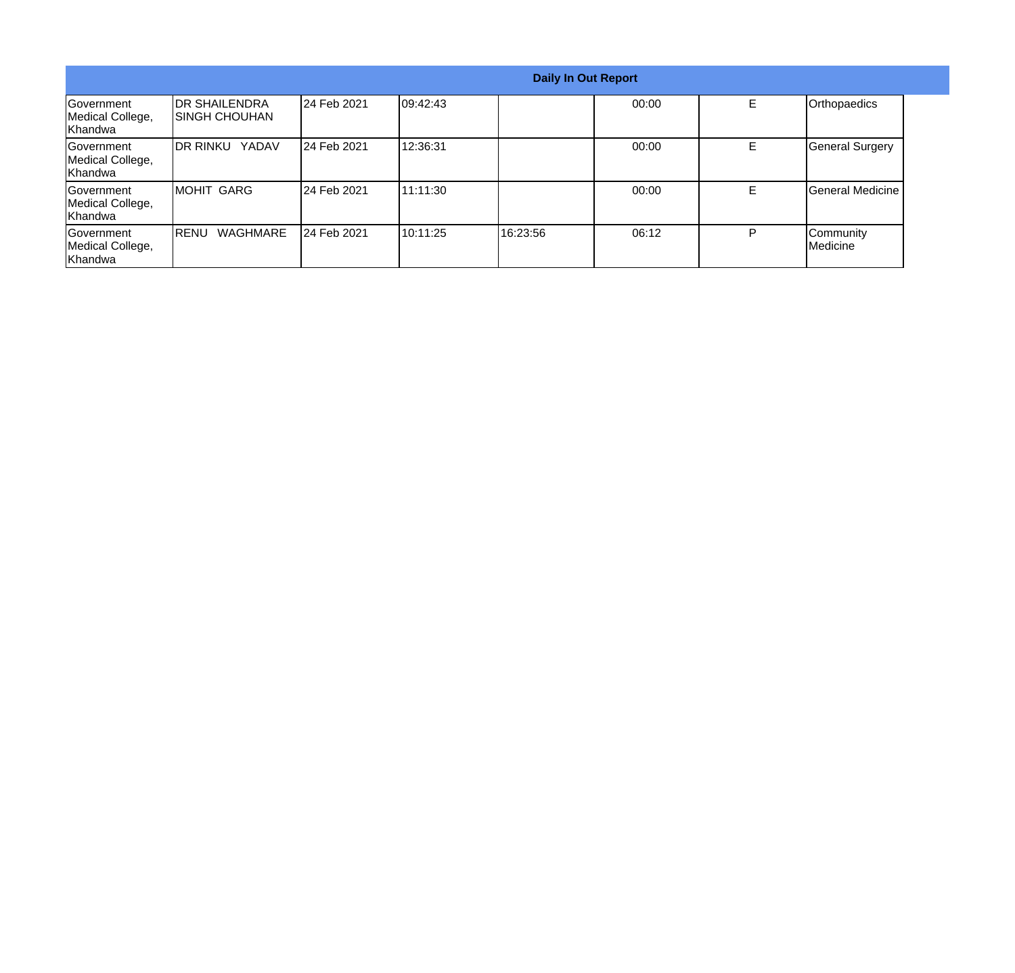|                                                   |                                  |             | <b>Daily In Out Report</b> |          |       |   |                          |
|---------------------------------------------------|----------------------------------|-------------|----------------------------|----------|-------|---|--------------------------|
| Government<br>Medical College,<br><b>Khandwa</b>  | IDR SHAILENDRA<br>ISINGH CHOUHAN | 24 Feb 2021 | 109:42:43                  |          | 00:00 | Е | Orthopaedics             |
| <b>IGovernment</b><br>Medical College,<br>Khandwa | YADAV<br>IDR RINKU               | 24 Feb 2021 | 12:36:31                   |          | 00:00 | Е | <b>General Surgery</b>   |
| <b>IGovernment</b><br>Medical College,<br>Khandwa | MOHIT GARG                       | 24 Feb 2021 | 111:11:30                  |          | 00:00 | Е | <b>IGeneral Medicine</b> |
| <b>Government</b><br>Medical College,<br>Khandwa  | WAGHMARE<br>IRENU                | 24 Feb 2021 | 10:11:25                   | 16:23:56 | 06:12 | P | Community<br>Medicine    |